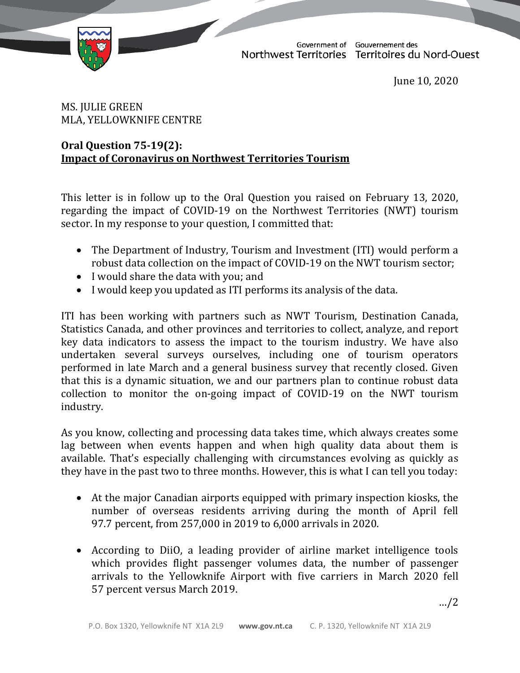TD 145-19(2) TABLED ON JUNE 11, 2020



Government of Gouvernement des<br>Northwest Territories Territoires du Nord-Ouest

June 10, 2020

## MS. JULIE GREEN MLA, YELLOWKNIFE CENTRE

## **Oral Question 75-19(2): Impact of Coronavirus on Northwest Territories Tourism**

This letter is in follow up to the Oral Question you raised on February 13, 2020, regarding the impact of COVID-19 on the Northwest Territories (NWT) tourism sector. In my response to your question, I committed that:

- The Department of Industry, Tourism and Investment (ITI) would perform a robust data collection on the impact of COVID-19 on the NWT tourism sector;
- I would share the data with you; and
- I would keep you updated as ITI performs its analysis of the data.

ITI has been working with partners such as NWT Tourism, Destination Canada, Statistics Canada, and other provinces and territories to collect, analyze, and report key data indicators to assess the impact to the tourism industry. We have also undertaken several surveys ourselves, including one of tourism operators performed in late March and a general business survey that recently closed. Given that this is a dynamic situation, we and our partners plan to continue robust data collection to monitor the on-going impact of COVID-19 on the NWT tourism industry.

As you know, collecting and processing data takes time, which always creates some lag between when events happen and when high quality data about them is available. That's especially challenging with circumstances evolving as quickly as they have in the past two to three months. However, this is what I can tell you today:

- At the major Canadian airports equipped with primary inspection kiosks, the number of overseas residents arriving during the month of April fell 97.7 percent, from 257,000 in 2019 to 6,000 arrivals in 2020.
- According to DiiO, a leading provider of airline market intelligence tools which provides flight passenger volumes data, the number of passenger arrivals to the Yellowknife Airport with five carriers in March 2020 fell 57 percent versus March 2019.

…/2